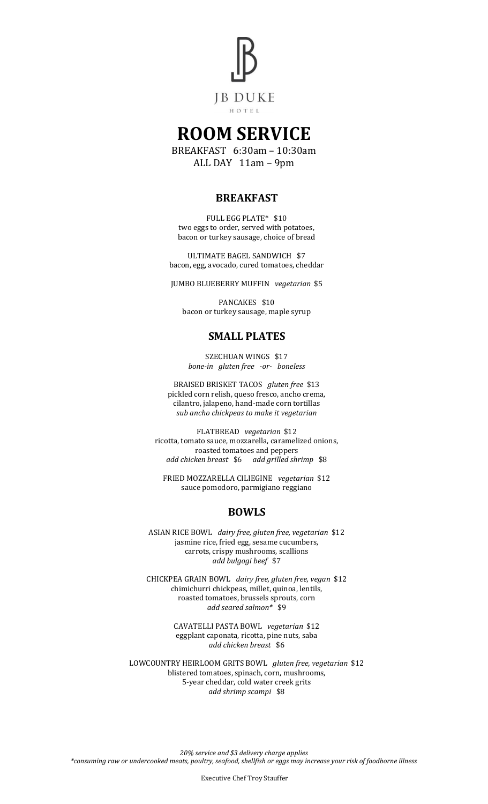

# **ROOM SERVICE**

BREAKFAST 6:30am – 10:30am ALL DAY 11am – 9pm

## **BREAKFAST**

FULL EGG PLATE\* \$10 two eggs to order, served with potatoes, bacon or turkey sausage, choice of bread

ULTIMATE BAGEL SANDWICH \$7 bacon, egg, avocado, cured tomatoes, cheddar

JUMBO BLUEBERRY MUFFIN *vegetarian* \$5

PANCAKES \$10 bacon or turkey sausage, maple syrup

### **SMALL PLATES**

SZECHUAN WINGS \$17 *bone-in gluten free -or- boneless*

BRAISED BRISKET TACOS *gluten free* \$13 pickled corn relish, queso fresco, ancho crema, cilantro, jalapeno, hand-made corn tortillas *sub ancho chickpeas to make it vegetarian*

FLATBREAD *vegetarian* \$12 ricotta, tomato sauce, mozzarella, caramelized onions, roasted tomatoes and peppers *add chicken breast* \$6 *add grilled shrimp* \$8

FRIED MOZZARELLA CILIEGINE *vegetarian* \$12 sauce pomodoro, parmigiano reggiano

### **BOWLS**

ASIAN RICE BOWL *dairy free, gluten free, vegetarian* \$12 jasmine rice, fried egg, sesame cucumbers, carrots, crispy mushrooms, scallions *add bulgogi beef* \$7

CHICKPEA GRAIN BOWL *dairy free, gluten free, vegan* \$12 chimichurri chickpeas, millet, quinoa, lentils, roasted tomatoes, brussels sprouts, corn *add seared salmon\** \$9

> CAVATELLI PASTA BOWL *vegetarian* \$12 eggplant caponata, ricotta, pine nuts, saba *add chicken breast* \$6

LOWCOUNTRY HEIRLOOM GRITS BOWL *gluten free, vegetarian* \$12 blistered tomatoes, spinach, corn, mushrooms, 5-year cheddar, cold water creek grits *add shrimp scampi* \$8